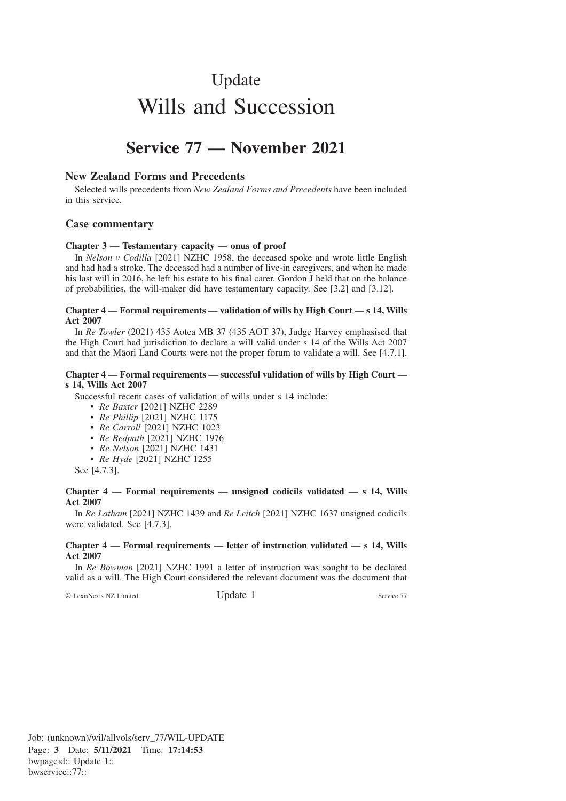# Update Wills and Succession

# **Service 77 — November 2021**

#### **New Zealand Forms and Precedents**

Selected wills precedents from *New Zealand Forms and Precedents* have been included in this service.

#### **Case commentary**

#### **Chapter 3 — Testamentary capacity — onus of proof**

In *Nelson v Codilla* [2021] NZHC 1958, the deceased spoke and wrote little English and had had a stroke. The deceased had a number of live-in caregivers, and when he made his last will in 2016, he left his estate to his final carer. Gordon J held that on the balance of probabilities, the will-maker did have testamentary capacity. See [3.2] and [3.12].

#### **Chapter 4 — Formal requirements — validation of wills by High Court — s 14, Wills Act 2007**

In *Re Towler* (2021) 435 Aotea MB 37 (435 AOT 37), Judge Harvey emphasised that the High Court had jurisdiction to declare a will valid under s 14 of the Wills Act 2007 and that the Māori Land Courts were not the proper forum to validate a will. See [4.7.1].

#### **Chapter 4 — Formal requirements — successful validation of wills by High Court s 14, Wills Act 2007**

Successful recent cases of validation of wills under s 14 include:

- *Re Baxter* [2021] NZHC 2289
- *Re Phillip* [2021] NZHC 1175
- *Re Carroll* [2021] NZHC 1023
- *Re Redpath* [2021] NZHC 1976
- *Re Nelson* [2021] NZHC 1431
- *Re Hyde* [2021] NZHC 1255

See [4.7.3].

#### **Chapter 4 — Formal requirements — unsigned codicils validated — s 14, Wills Act 2007**

In *Re Latham* [2021] NZHC 1439 and *Re Leitch* [2021] NZHC 1637 unsigned codicils were validated. See [4.7.3].

#### **Chapter 4 — Formal requirements — letter of instruction validated — s 14, Wills Act 2007**

In *Re Bowman* [2021] NZHC 1991 a letter of instruction was sought to be declared valid as a will. The High Court considered the relevant document was the document that